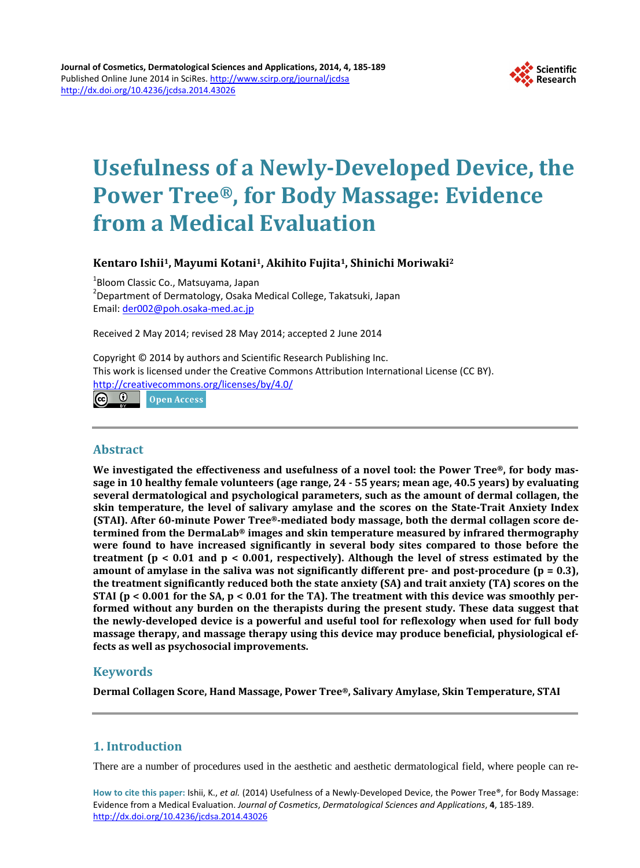

# **Usefulness of a Newly-Developed Device, the Power Tree® , for Body Massage: Evidence from a Medical Evaluation**

**Kentaro Ishii1, Mayumi Kotani1, Akihito Fujita1, Shinichi Moriwaki2**

<sup>1</sup>Bloom Classic Co., Matsuyama, Japan<br><sup>2</sup>Department of Dermatology, Osaka N Department of Dermatology, Osaka Medical College, Takatsuki, Japan Email: [der002@poh.osaka-med.ac.jp](mailto:der002@poh.osaka-med.ac.jp)

Received 2 May 2014; revised 28 May 2014; accepted 2 June 2014

Copyright © 2014 by authors and Scientific Research Publishing Inc. This work is licensed under the Creative Commons Attribution International License (CC BY). <http://creativecommons.org/licenses/by/4.0/>

 $\bullet$ **Open Access** 

## **Abstract**

**We investigated the effectiveness and usefulness of a novel tool: the Power Tree®, for body massage in 10 healthy female volunteers (age range, 24 - 55 years; mean age, 40.5 years) by evaluating several dermatological and psychological parameters, such as the amount of dermal collagen, the skin temperature, the level of salivary amylase and the scores on the State-Trait Anxiety Index (STAI). After 60-minute Power Tree®-mediated body massage, both the dermal collagen score determined from the DermaLab® images and skin temperature measured by infrared thermography were found to have increased significantly in several body sites compared to those before the treatment (p < 0.01 and p < 0.001, respectively). Although the level of stress estimated by the amount of amylase in the saliva was not significantly different pre- and post-procedure (p = 0.3), the treatment significantly reduced both the state anxiety (SA) and trait anxiety (TA) scores on the STAI (p < 0.001 for the SA, p < 0.01 for the TA). The treatment with this device was smoothly performed without any burden on the therapists during the present study. These data suggest that the newly-developed device is a powerful and useful tool for reflexology when used for full body massage therapy, and massage therapy using this device may produce beneficial, physiological effects as well as psychosocial improvements.**

# **Keywords**

**Dermal Collagen Score, Hand Massage, Power Tree®, Salivary Amylase, Skin Temperature, STAI**

# **1. Introduction**

There are a number of procedures used in the aesthetic and aesthetic dermatological field, where people can re-

**How to cite this paper:** Ishii, K., *et al.* (2014) Usefulness of a Newly-Developed Device, the Power Tree®, for Body Massage: Evidence from a Medical Evaluation. *Journal of Cosmetics*, *Dermatological Sciences and Applications*, **4**, 185-189. <http://dx.doi.org/10.4236/jcdsa.2014.43026>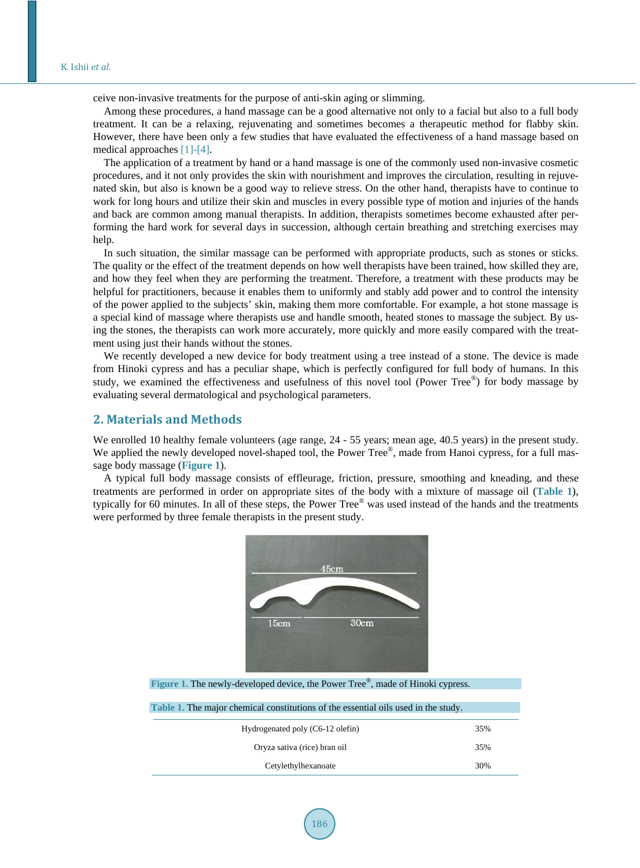ceive non-invasive treatments for the purpose of anti-skin aging or slimming.

Among these procedures, a hand massage can be a good alternative not only to a facial but also to a full body treatment. It can be a relaxing, rejuvenating and sometimes becomes a therapeutic method for flabby skin. However, there have been only a few studies that have evaluated the effectiveness of a hand massage based on medical approaches [\[1\]](#page-4-0)[-\[4\].](#page-4-1)

The application of a treatment by hand or a hand massage is one of the commonly used non-invasive cosmetic procedures, and it not only provides the skin with nourishment and improves the circulation, resulting in rejuvenated skin, but also is known be a good way to relieve stress. On the other hand, therapists have to continue to work for long hours and utilize their skin and muscles in every possible type of motion and injuries of the hands and back are common among manual therapists. In addition, therapists sometimes become exhausted after performing the hard work for several days in succession, although certain breathing and stretching exercises may help.

In such situation, the similar massage can be performed with appropriate products, such as stones or sticks. The quality or the effect of the treatment depends on how well therapists have been trained, how skilled they are, and how they feel when they are performing the treatment. Therefore, a treatment with these products may be helpful for practitioners, because it enables them to uniformly and stably add power and to control the intensity of the power applied to the subjects' skin, making them more comfortable. For example, a hot stone massage is a special kind of massage where therapists use and handle smooth, heated stones to massage the subject. By using the stones, the therapists can work more accurately, more quickly and more easily compared with the treatment using just their hands without the stones.

We recently developed a new device for body treatment using a tree instead of a stone. The device is made from Hinoki cypress and has a peculiar shape, which is perfectly configured for full body of humans. In this study, we examined the effectiveness and usefulness of this novel tool (Power Tree®) for body massage by evaluating several dermatological and psychological parameters.

## **2. Materials and Methods**

We enrolled 10 healthy female volunteers (age range,  $24 - 55$  years; mean age, 40.5 years) in the present study. We applied the newly developed novel-shaped tool, the Power Tree<sup>®</sup>, made from Hanoi cypress, for a full massage body massage (**[Figure 1](#page-1-0)**).

<span id="page-1-0"></span>A typical full body massage consists of effleurage, friction, pressure, smoothing and kneading, and these treatments are performed in order on appropriate sites of the body with a mixture of massage oil (**[Table 1](#page-1-1)**), typically for 60 minutes. In all of these steps, the Power Tree® was used instead of the hands and the treatments were performed by three female therapists in the present study.



<span id="page-1-1"></span>Figure 1. The newly-developed device, the Power Tree®, made of Hinoki cypress.

| Table 1. The major chemical constitutions of the essential oils used in the study. |     |
|------------------------------------------------------------------------------------|-----|
| Hydrogenated poly (C6-12 olefin)                                                   | 35% |
| Oryza sativa (rice) bran oil                                                       | 35% |
| Cetylethylhexanoate                                                                | 30% |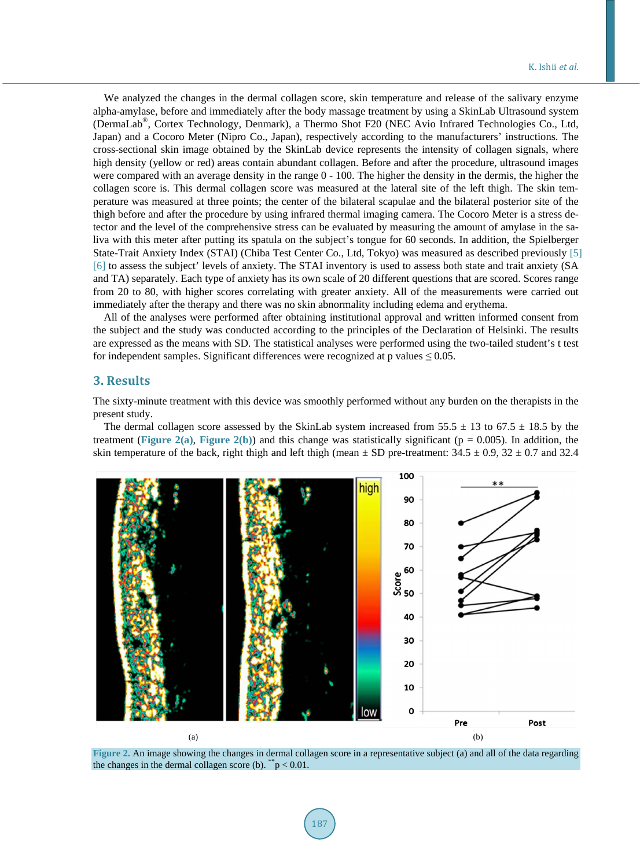We analyzed the changes in the dermal collagen score, skin temperature and release of the salivary enzyme alpha-amylase, before and immediately after the body massage treatment by using a SkinLab Ultrasound system (DermaLab®, Cortex Technology, Denmark), a Thermo Shot F20 (NEC Avio Infrared Technologies Co., Ltd, Japan) and a Cocoro Meter (Nipro Co., Japan), respectively according to the manufacturers' instructions. The cross-sectional skin image obtained by the SkinLab device represents the intensity of collagen signals, where high density (yellow or red) areas contain abundant collagen. Before and after the procedure, ultrasound images were compared with an average density in the range  $0 - 100$ . The higher the density in the dermis, the higher the collagen score is. This dermal collagen score was measured at the lateral site of the left thigh. The skin temperature was measured at three points; the center of the bilateral scapulae and the bilateral posterior site of the thigh before and after the procedure by using infrared thermal imaging camera. The Cocoro Meter is a stress detector and the level of the comprehensive stress can be evaluated by measuring the amount of amylase in the saliva with this meter after putting its spatula on the subject's tongue for 60 seconds. In addition, the Spielberger State-Trait Anxiety Index (STAI) (Chiba Test Center Co., Ltd, Tokyo) was measured as described previously [\[5\]](#page-4-2) [\[6\]](#page-4-3) to assess the subject' levels of anxiety. The STAI inventory is used to assess both state and trait anxiety (SA and TA) separately. Each type of anxiety has its own scale of 20 different questions that are scored. Scores range from 20 to 80, with higher scores correlating with greater anxiety. All of the measurements were carried out immediately after the therapy and there was no skin abnormality including edema and erythema.

All of the analyses were performed after obtaining institutional approval and written informed consent from the subject and the study was conducted according to the principles of the Declaration of Helsinki. The results are expressed as the means with SD. The statistical analyses were performed using the two-tailed student's t test for independent samples. Significant differences were recognized at p values  $\leq 0.05$ .

#### **3. Results**

The sixty-minute treatment with this device was smoothly performed without any burden on the therapists in the present study.

The dermal collagen score assessed by the SkinLab system increased from  $55.5 \pm 13$  to  $67.5 \pm 18.5$  by the treatment ([Figure 2\(a\)](#page-2-0), [Figure 2\(b\)](#page-2-0)) and this change was statistically significant ( $p = 0.005$ ). In addition, the skin temperature of the back, right thigh and left thigh (mean  $\pm$  SD pre-treatment: 34.5  $\pm$  0.9, 32  $\pm$  0.7 and 32.4

<span id="page-2-0"></span>

**Figure 2.** An image showing the changes in dermal collagen score in a representative subject (a) and all of the data regarding the changes in the dermal collagen score (b).  $\ddot{p}$  < 0.01.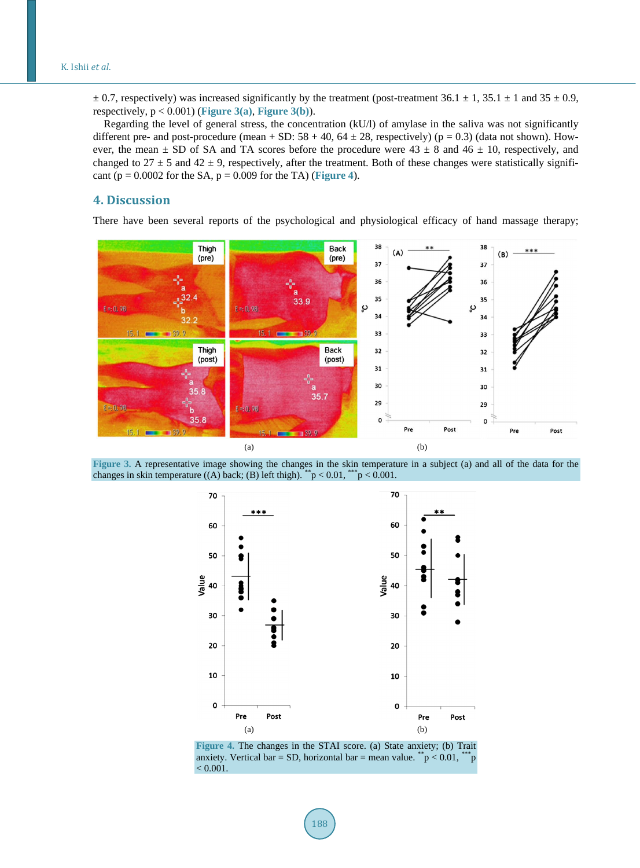$\pm$  0.7, respectively) was increased significantly by the treatment (post-treatment 36.1  $\pm$  1, 35.1  $\pm$  1 and 35  $\pm$  0.9, respectively, p < 0.001) (**[Figure 3\(a\)](#page-3-0)**, **[Figure 3\(b\)](#page-3-0)**).

Regarding the level of general stress, the concentration (kU/l) of amylase in the saliva was not significantly different pre- and post-procedure (mean + SD:  $58 + 40$ ,  $64 \pm 28$ , respectively) (p = 0.3) (data not shown). However, the mean  $\pm$  SD of SA and TA scores before the procedure were 43  $\pm$  8 and 46  $\pm$  10, respectively, and changed to  $27 \pm 5$  and  $42 \pm 9$ , respectively, after the treatment. Both of these changes were statistically significant ( $p = 0.0002$  for the SA,  $p = 0.009$  for the TA) ([Figure 4](#page-3-1)).

# **4. Discussion**

There have been several reports of the psychological and physiological efficacy of hand massage therapy;

<span id="page-3-0"></span>

<span id="page-3-1"></span>**Figure 3.** A representative image showing the changes in the skin temperature in a subject (a) and all of the data for the changes in skin temperature ((A) back; (B) left thigh).  $\sqrt{\ }$   $p$  < 0.01,  $\sqrt{\ }$   $p$  < 0.001.



**Figure 4.** The changes in the STAI score. (a) State anxiety; (b) Trait anxiety. Vertical bar = SD, horizontal bar = mean value. \*\*\*p < 0.01, \*\*\*p  $< 0.001$ .